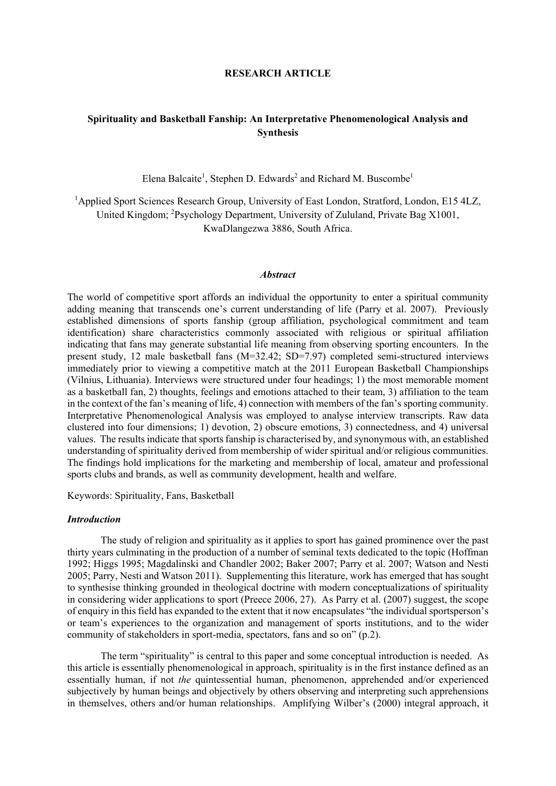## **RESEARCH ARTICLE**

# **Spirituality and Basketball Fanship: An Interpretative Phenomenological Analysis and Synthesis**

Elena Balcaite<sup>1</sup>, Stephen D. Edwards<sup>2</sup> and Richard M. Buscombe<sup>1</sup>

<sup>1</sup>Applied Sport Sciences Research Group, University of East London, Stratford, London, E15 4LZ, United Kingdom; <sup>2</sup>Psychology Department, University of Zululand, Private Bag X1001, KwaDlangezwa 3886, South Africa.

#### *Abstract*

The world of competitive sport affords an individual the opportunity to enter a spiritual community adding meaning that transcends one's current understanding of life (Parry et al. 2007). Previously established dimensions of sports fanship (group affiliation, psychological commitment and team identification) share characteristics commonly associated with religious or spiritual affiliation indicating that fans may generate substantial life meaning from observing sporting encounters. In the present study, 12 male basketball fans (M=32.42; SD=7.97) completed semi-structured interviews immediately prior to viewing a competitive match at the 2011 European Basketball Championships (Vilnius, Lithuania). Interviews were structured under four headings; 1) the most memorable moment as a basketball fan, 2) thoughts, feelings and emotions attached to their team, 3) affiliation to the team in the context of the fan's meaning of life, 4) connection with members of the fan's sporting community. Interpretative Phenomenological Analysis was employed to analyse interview transcripts. Raw data clustered into four dimensions; 1) devotion, 2) obscure emotions, 3) connectedness, and 4) universal values. The results indicate that sports fanship is characterised by, and synonymous with, an established understanding of spirituality derived from membership of wider spiritual and/or religious communities. The findings hold implications for the marketing and membership of local, amateur and professional sports clubs and brands, as well as community development, health and welfare.

Keywords: Spirituality, Fans, Basketball

### *Introduction*

The study of religion and spirituality as it applies to sport has gained prominence over the past thirty years culminating in the production of a number of seminal texts dedicated to the topic (Hoffman 1992; Higgs 1995; Magdalinski and Chandler 2002; Baker 2007; Parry et al. 2007; Watson and Nesti 2005; Parry, Nesti and Watson 2011). Supplementing this literature, work has emerged that has sought to synthesise thinking grounded in theological doctrine with modern conceptualizations of spirituality in considering wider applications to sport (Preece 2006, 27). As Parry et al. (2007) suggest, the scope of enquiry in this field has expanded to the extent that it now encapsulates "the individual sportsperson's or team's experiences to the organization and management of sports institutions, and to the wider community of stakeholders in sport-media, spectators, fans and so on" (p.2).

The term "spirituality" is central to this paper and some conceptual introduction is needed. As this article is essentially phenomenological in approach, spirituality is in the first instance defined as an essentially human, if not *the* quintessential human, phenomenon, apprehended and/or experienced subjectively by human beings and objectively by others observing and interpreting such apprehensions in themselves, others and/or human relationships. Amplifying Wilber's (2000) integral approach, it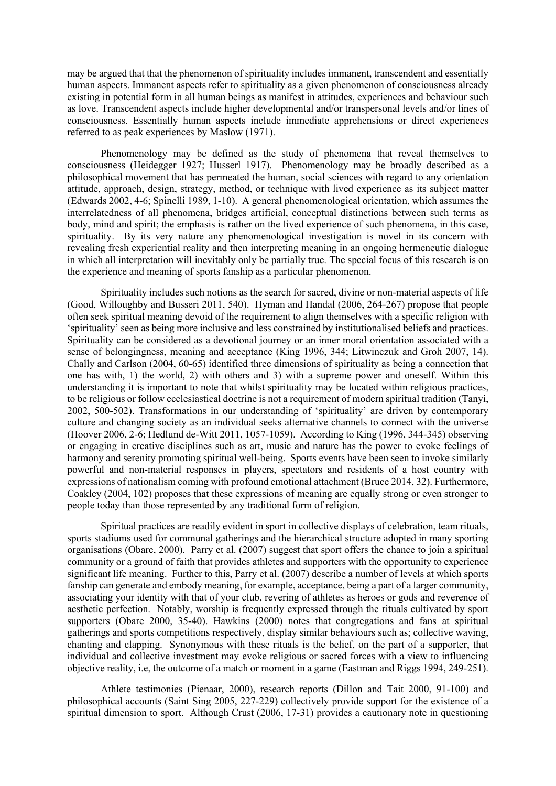may be argued that that the phenomenon of spirituality includes immanent, transcendent and essentially human aspects. Immanent aspects refer to spirituality as a given phenomenon of consciousness already existing in potential form in all human beings as manifest in attitudes, experiences and behaviour such as love. Transcendent aspects include higher developmental and/or transpersonal levels and/or lines of consciousness. Essentially human aspects include immediate apprehensions or direct experiences referred to as peak experiences by Maslow (1971).

Phenomenology may be defined as the study of phenomena that reveal themselves to consciousness (Heidegger 1927; Husserl 1917). Phenomenology may be broadly described as a philosophical movement that has permeated the human, social sciences with regard to any orientation attitude, approach, design, strategy, method, or technique with lived experience as its subject matter (Edwards 2002, 4-6; Spinelli 1989, 1-10). A general phenomenological orientation, which assumes the interrelatedness of all phenomena, bridges artificial, conceptual distinctions between such terms as body, mind and spirit; the emphasis is rather on the lived experience of such phenomena, in this case, spirituality. By its very nature any phenomenological investigation is novel in its concern with revealing fresh experiential reality and then interpreting meaning in an ongoing hermeneutic dialogue in which all interpretation will inevitably only be partially true. The special focus of this research is on the experience and meaning of sports fanship as a particular phenomenon.

Spirituality includes such notions as the search for sacred, divine or non-material aspects of life (Good, Willoughby and Busseri 2011, 540). Hyman and Handal (2006, 264-267) propose that people often seek spiritual meaning devoid of the requirement to align themselves with a specific religion with 'spirituality' seen as being more inclusive and less constrained by institutionalised beliefs and practices. Spirituality can be considered as a devotional journey or an inner moral orientation associated with a sense of belongingness, meaning and acceptance (King 1996, 344; Litwinczuk and Groh 2007, 14). Chally and Carlson (2004, 60-65) identified three dimensions of spirituality as being a connection that one has with, 1) the world, 2) with others and 3) with a supreme power and oneself. Within this understanding it is important to note that whilst spirituality may be located within religious practices, to be religious or follow ecclesiastical doctrine is not a requirement of modern spiritual tradition (Tanyi, 2002, 500-502). Transformations in our understanding of 'spirituality' are driven by contemporary culture and changing society as an individual seeks alternative channels to connect with the universe (Hoover 2006, 2-6; Hedlund de-Witt 2011, 1057-1059). According to King (1996, 344-345) observing or engaging in creative disciplines such as art, music and nature has the power to evoke feelings of harmony and serenity promoting spiritual well-being. Sports events have been seen to invoke similarly powerful and non-material responses in players, spectators and residents of a host country with expressions of nationalism coming with profound emotional attachment (Bruce 2014, 32). Furthermore, Coakley (2004, 102) proposes that these expressions of meaning are equally strong or even stronger to people today than those represented by any traditional form of religion.

Spiritual practices are readily evident in sport in collective displays of celebration, team rituals, sports stadiums used for communal gatherings and the hierarchical structure adopted in many sporting organisations (Obare, 2000). Parry et al. (2007) suggest that sport offers the chance to join a spiritual community or a ground of faith that provides athletes and supporters with the opportunity to experience significant life meaning. Further to this, Parry et al. (2007) describe a number of levels at which sports fanship can generate and embody meaning, for example, acceptance, being a part of a larger community, associating your identity with that of your club, revering of athletes as heroes or gods and reverence of aesthetic perfection. Notably, worship is frequently expressed through the rituals cultivated by sport supporters (Obare 2000, 35-40). Hawkins (2000) notes that congregations and fans at spiritual gatherings and sports competitions respectively, display similar behaviours such as; collective waving, chanting and clapping. Synonymous with these rituals is the belief, on the part of a supporter, that individual and collective investment may evoke religious or sacred forces with a view to influencing objective reality, i.e, the outcome of a match or moment in a game (Eastman and Riggs 1994, 249-251).

Athlete testimonies (Pienaar, 2000), research reports (Dillon and Tait 2000, 91-100) and philosophical accounts (Saint Sing 2005, 227-229) collectively provide support for the existence of a spiritual dimension to sport. Although Crust (2006, 17-31) provides a cautionary note in questioning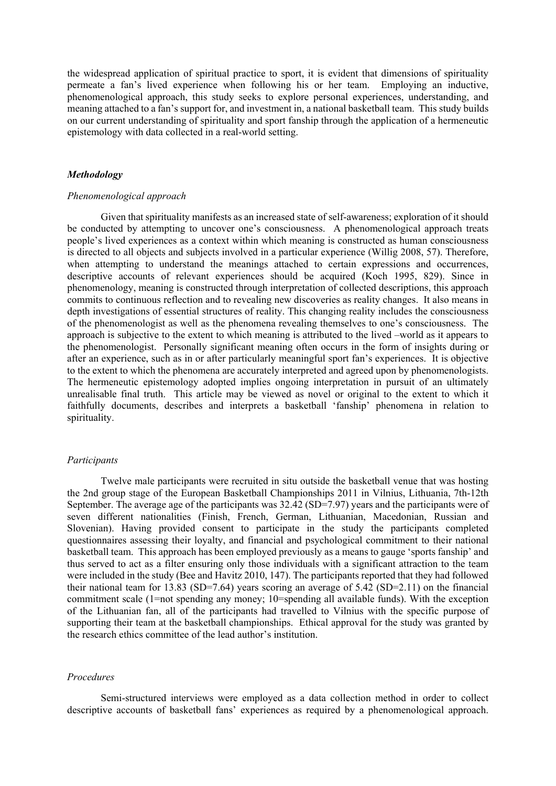the widespread application of spiritual practice to sport, it is evident that dimensions of spirituality permeate a fan's lived experience when following his or her team. Employing an inductive, phenomenological approach, this study seeks to explore personal experiences, understanding, and meaning attached to a fan's support for, and investment in, a national basketball team. This study builds on our current understanding of spirituality and sport fanship through the application of a hermeneutic epistemology with data collected in a real-world setting.

## *Methodology*

#### *Phenomenological approach*

Given that spirituality manifests as an increased state of self-awareness; exploration of it should be conducted by attempting to uncover one's consciousness. A phenomenological approach treats people's lived experiences as a context within which meaning is constructed as human consciousness is directed to all objects and subjects involved in a particular experience (Willig 2008, 57). Therefore, when attempting to understand the meanings attached to certain expressions and occurrences, descriptive accounts of relevant experiences should be acquired (Koch 1995, 829). Since in phenomenology, meaning is constructed through interpretation of collected descriptions, this approach commits to continuous reflection and to revealing new discoveries as reality changes. It also means in depth investigations of essential structures of reality. This changing reality includes the consciousness of the phenomenologist as well as the phenomena revealing themselves to one's consciousness. The approach is subjective to the extent to which meaning is attributed to the lived –world as it appears to the phenomenologist. Personally significant meaning often occurs in the form of insights during or after an experience, such as in or after particularly meaningful sport fan's experiences. It is objective to the extent to which the phenomena are accurately interpreted and agreed upon by phenomenologists. The hermeneutic epistemology adopted implies ongoing interpretation in pursuit of an ultimately unrealisable final truth. This article may be viewed as novel or original to the extent to which it faithfully documents, describes and interprets a basketball 'fanship' phenomena in relation to spirituality.

### *Participants*

Twelve male participants were recruited in situ outside the basketball venue that was hosting the 2nd group stage of the European Basketball Championships 2011 in Vilnius, Lithuania, 7th-12th September. The average age of the participants was 32.42 (SD=7.97) years and the participants were of seven different nationalities (Finish, French, German, Lithuanian, Macedonian, Russian and Slovenian). Having provided consent to participate in the study the participants completed questionnaires assessing their loyalty, and financial and psychological commitment to their national basketball team. This approach has been employed previously as a means to gauge 'sports fanship' and thus served to act as a filter ensuring only those individuals with a significant attraction to the team were included in the study (Bee and Havitz 2010, 147). The participants reported that they had followed their national team for 13.83 (SD=7.64) years scoring an average of 5.42 (SD=2.11) on the financial commitment scale (1=not spending any money; 10=spending all available funds). With the exception of the Lithuanian fan, all of the participants had travelled to Vilnius with the specific purpose of supporting their team at the basketball championships. Ethical approval for the study was granted by the research ethics committee of the lead author's institution.

## *Procedures*

Semi-structured interviews were employed as a data collection method in order to collect descriptive accounts of basketball fans' experiences as required by a phenomenological approach.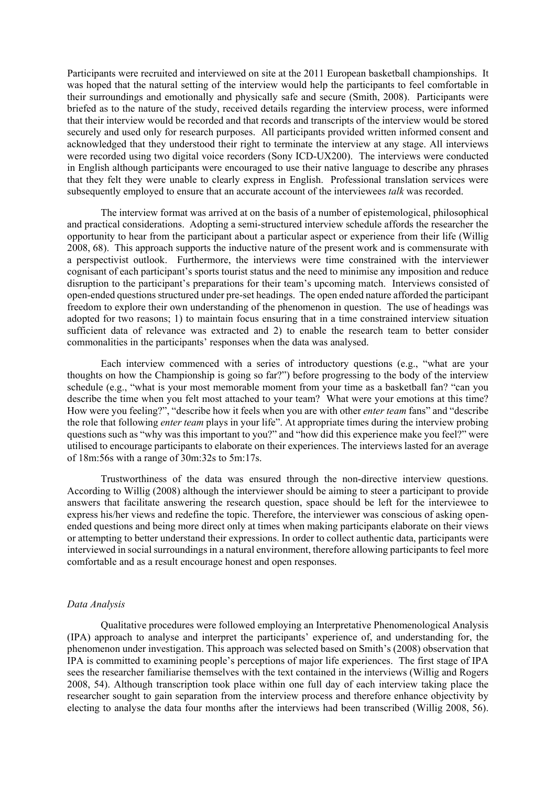Participants were recruited and interviewed on site at the 2011 European basketball championships. It was hoped that the natural setting of the interview would help the participants to feel comfortable in their surroundings and emotionally and physically safe and secure (Smith, 2008). Participants were briefed as to the nature of the study, received details regarding the interview process, were informed that their interview would be recorded and that records and transcripts of the interview would be stored securely and used only for research purposes. All participants provided written informed consent and acknowledged that they understood their right to terminate the interview at any stage. All interviews were recorded using two digital voice recorders (Sony ICD-UX200). The interviews were conducted in English although participants were encouraged to use their native language to describe any phrases that they felt they were unable to clearly express in English. Professional translation services were subsequently employed to ensure that an accurate account of the interviewees *talk* was recorded.

The interview format was arrived at on the basis of a number of epistemological, philosophical and practical considerations. Adopting a semi-structured interview schedule affords the researcher the opportunity to hear from the participant about a particular aspect or experience from their life (Willig 2008, 68). This approach supports the inductive nature of the present work and is commensurate with a perspectivist outlook. Furthermore, the interviews were time constrained with the interviewer cognisant of each participant's sports tourist status and the need to minimise any imposition and reduce disruption to the participant's preparations for their team's upcoming match. Interviews consisted of open-ended questions structured under pre-set headings. The open ended nature afforded the participant freedom to explore their own understanding of the phenomenon in question. The use of headings was adopted for two reasons; 1) to maintain focus ensuring that in a time constrained interview situation sufficient data of relevance was extracted and 2) to enable the research team to better consider commonalities in the participants' responses when the data was analysed.

Each interview commenced with a series of introductory questions (e.g., "what are your thoughts on how the Championship is going so far?") before progressing to the body of the interview schedule (e.g., "what is your most memorable moment from your time as a basketball fan? "can you describe the time when you felt most attached to your team? What were your emotions at this time? How were you feeling?", "describe how it feels when you are with other *enter team* fans" and "describe the role that following *enter team* plays in your life". At appropriate times during the interview probing questions such as "why was this important to you?" and "how did this experience make you feel?" were utilised to encourage participants to elaborate on their experiences. The interviews lasted for an average of 18m:56s with a range of 30m:32s to 5m:17s.

Trustworthiness of the data was ensured through the non-directive interview questions. According to Willig (2008) although the interviewer should be aiming to steer a participant to provide answers that facilitate answering the research question, space should be left for the interviewee to express his/her views and redefine the topic. Therefore, the interviewer was conscious of asking openended questions and being more direct only at times when making participants elaborate on their views or attempting to better understand their expressions. In order to collect authentic data, participants were interviewed in social surroundings in a natural environment, therefore allowing participants to feel more comfortable and as a result encourage honest and open responses.

## *Data Analysis*

Qualitative procedures were followed employing an Interpretative Phenomenological Analysis (IPA) approach to analyse and interpret the participants' experience of, and understanding for, the phenomenon under investigation. This approach was selected based on Smith's (2008) observation that IPA is committed to examining people's perceptions of major life experiences. The first stage of IPA sees the researcher familiarise themselves with the text contained in the interviews (Willig and Rogers 2008, 54). Although transcription took place within one full day of each interview taking place the researcher sought to gain separation from the interview process and therefore enhance objectivity by electing to analyse the data four months after the interviews had been transcribed (Willig 2008, 56).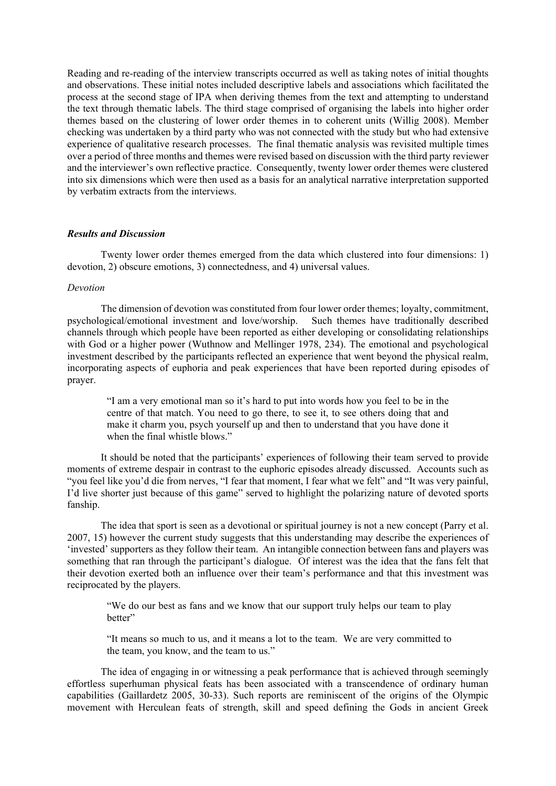Reading and re-reading of the interview transcripts occurred as well as taking notes of initial thoughts and observations. These initial notes included descriptive labels and associations which facilitated the process at the second stage of IPA when deriving themes from the text and attempting to understand the text through thematic labels. The third stage comprised of organising the labels into higher order themes based on the clustering of lower order themes in to coherent units (Willig 2008). Member checking was undertaken by a third party who was not connected with the study but who had extensive experience of qualitative research processes. The final thematic analysis was revisited multiple times over a period of three months and themes were revised based on discussion with the third party reviewer and the interviewer's own reflective practice. Consequently, twenty lower order themes were clustered into six dimensions which were then used as a basis for an analytical narrative interpretation supported by verbatim extracts from the interviews.

## *Results and Discussion*

Twenty lower order themes emerged from the data which clustered into four dimensions: 1) devotion, 2) obscure emotions, 3) connectedness, and 4) universal values.

#### *Devotion*

The dimension of devotion was constituted from four lower order themes; loyalty, commitment, psychological/emotional investment and love/worship. Such themes have traditionally described channels through which people have been reported as either developing or consolidating relationships with God or a higher power (Wuthnow and Mellinger 1978, 234). The emotional and psychological investment described by the participants reflected an experience that went beyond the physical realm, incorporating aspects of euphoria and peak experiences that have been reported during episodes of prayer.

"I am a very emotional man so it's hard to put into words how you feel to be in the centre of that match. You need to go there, to see it, to see others doing that and make it charm you, psych yourself up and then to understand that you have done it when the final whistle blows."

It should be noted that the participants' experiences of following their team served to provide moments of extreme despair in contrast to the euphoric episodes already discussed. Accounts such as "you feel like you'd die from nerves, "I fear that moment, I fear what we felt" and "It was very painful, I'd live shorter just because of this game" served to highlight the polarizing nature of devoted sports fanship.

The idea that sport is seen as a devotional or spiritual journey is not a new concept (Parry et al. 2007, 15) however the current study suggests that this understanding may describe the experiences of 'invested' supporters as they follow their team. An intangible connection between fans and players was something that ran through the participant's dialogue. Of interest was the idea that the fans felt that their devotion exerted both an influence over their team's performance and that this investment was reciprocated by the players.

"We do our best as fans and we know that our support truly helps our team to play better"

"It means so much to us, and it means a lot to the team. We are very committed to the team, you know, and the team to us."

The idea of engaging in or witnessing a peak performance that is achieved through seemingly effortless superhuman physical feats has been associated with a transcendence of ordinary human capabilities (Gaillardetz 2005, 30-33). Such reports are reminiscent of the origins of the Olympic movement with Herculean feats of strength, skill and speed defining the Gods in ancient Greek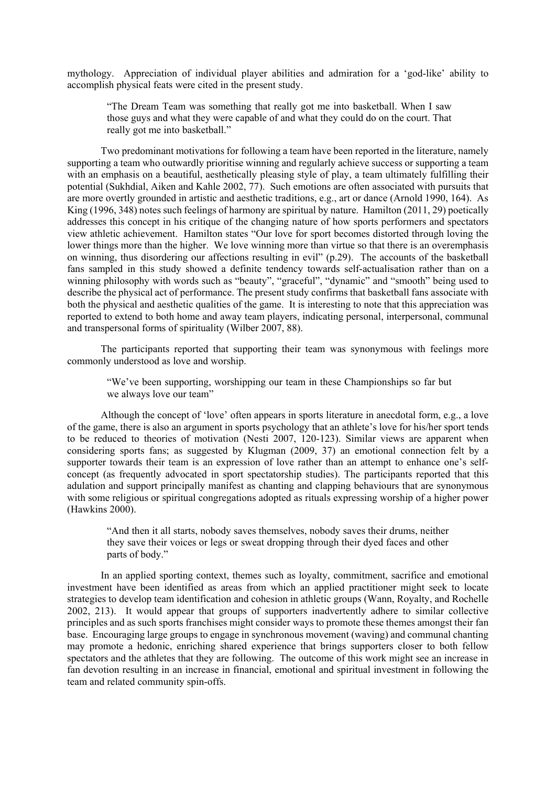mythology. Appreciation of individual player abilities and admiration for a 'god-like' ability to accomplish physical feats were cited in the present study.

"The Dream Team was something that really got me into basketball. When I saw those guys and what they were capable of and what they could do on the court. That really got me into basketball."

Two predominant motivations for following a team have been reported in the literature, namely supporting a team who outwardly prioritise winning and regularly achieve success or supporting a team with an emphasis on a beautiful, aesthetically pleasing style of play, a team ultimately fulfilling their potential (Sukhdial, Aiken and Kahle 2002, 77). Such emotions are often associated with pursuits that are more overtly grounded in artistic and aesthetic traditions, e.g., art or dance (Arnold 1990, 164). As King (1996, 348) notes such feelings of harmony are spiritual by nature. Hamilton (2011, 29) poetically addresses this concept in his critique of the changing nature of how sports performers and spectators view athletic achievement. Hamilton states "Our love for sport becomes distorted through loving the lower things more than the higher. We love winning more than virtue so that there is an overemphasis on winning, thus disordering our affections resulting in evil" (p.29). The accounts of the basketball fans sampled in this study showed a definite tendency towards self-actualisation rather than on a winning philosophy with words such as "beauty", "graceful", "dynamic" and "smooth" being used to describe the physical act of performance. The present study confirms that basketball fans associate with both the physical and aesthetic qualities of the game. It is interesting to note that this appreciation was reported to extend to both home and away team players, indicating personal, interpersonal, communal and transpersonal forms of spirituality (Wilber 2007, 88).

The participants reported that supporting their team was synonymous with feelings more commonly understood as love and worship.

"We've been supporting, worshipping our team in these Championships so far but we always love our team"

Although the concept of 'love' often appears in sports literature in anecdotal form, e.g., a love of the game, there is also an argument in sports psychology that an athlete's love for his/her sport tends to be reduced to theories of motivation (Nesti 2007, 120-123). Similar views are apparent when considering sports fans; as suggested by Klugman (2009, 37) an emotional connection felt by a supporter towards their team is an expression of love rather than an attempt to enhance one's selfconcept (as frequently advocated in sport spectatorship studies). The participants reported that this adulation and support principally manifest as chanting and clapping behaviours that are synonymous with some religious or spiritual congregations adopted as rituals expressing worship of a higher power (Hawkins 2000).

"And then it all starts, nobody saves themselves, nobody saves their drums, neither they save their voices or legs or sweat dropping through their dyed faces and other parts of body."

In an applied sporting context, themes such as loyalty, commitment, sacrifice and emotional investment have been identified as areas from which an applied practitioner might seek to locate strategies to develop team identification and cohesion in athletic groups (Wann, Royalty, and Rochelle 2002, 213). It would appear that groups of supporters inadvertently adhere to similar collective principles and as such sports franchises might consider ways to promote these themes amongst their fan base. Encouraging large groups to engage in synchronous movement (waving) and communal chanting may promote a hedonic, enriching shared experience that brings supporters closer to both fellow spectators and the athletes that they are following. The outcome of this work might see an increase in fan devotion resulting in an increase in financial, emotional and spiritual investment in following the team and related community spin-offs.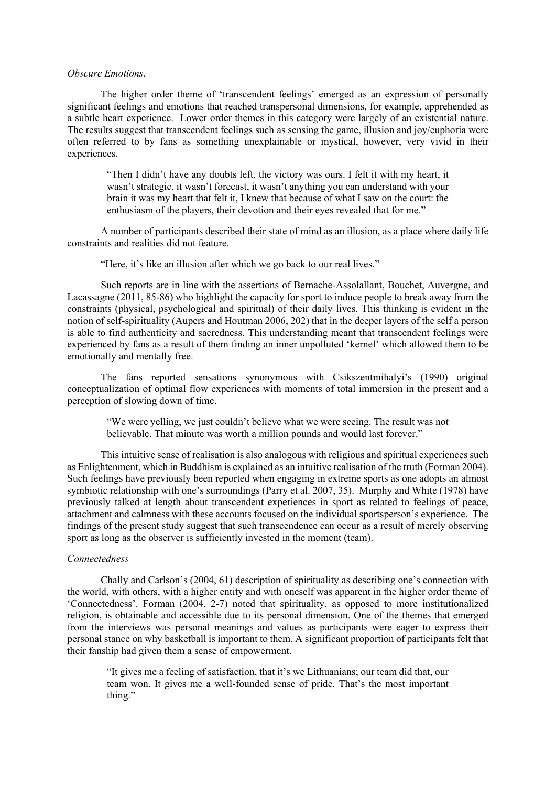### *Obscure Emotions.*

The higher order theme of 'transcendent feelings' emerged as an expression of personally significant feelings and emotions that reached transpersonal dimensions, for example, apprehended as a subtle heart experience. Lower order themes in this category were largely of an existential nature. The results suggest that transcendent feelings such as sensing the game, illusion and joy/euphoria were often referred to by fans as something unexplainable or mystical, however, very vivid in their experiences.

"Then I didn't have any doubts left, the victory was ours. I felt it with my heart, it wasn't strategic, it wasn't forecast, it wasn't anything you can understand with your brain it was my heart that felt it, I knew that because of what I saw on the court: the enthusiasm of the players, their devotion and their eyes revealed that for me."

A number of participants described their state of mind as an illusion, as a place where daily life constraints and realities did not feature.

"Here, it's like an illusion after which we go back to our real lives."

Such reports are in line with the assertions of Bernache-Assolallant, Bouchet, Auvergne, and Lacassagne (2011, 85-86) who highlight the capacity for sport to induce people to break away from the constraints (physical, psychological and spiritual) of their daily lives. This thinking is evident in the notion of self-spirituality (Aupers and Houtman 2006, 202) that in the deeper layers of the self a person is able to find authenticity and sacredness. This understanding meant that transcendent feelings were experienced by fans as a result of them finding an inner unpolluted 'kernel' which allowed them to be emotionally and mentally free.

The fans reported sensations synonymous with Csikszentmihalyi's (1990) original conceptualization of optimal flow experiences with moments of total immersion in the present and a perception of slowing down of time.

"We were yelling, we just couldn't believe what we were seeing. The result was not believable. That minute was worth a million pounds and would last forever."

This intuitive sense of realisation is also analogous with religious and spiritual experiences such as Enlightenment, which in Buddhism is explained as an intuitive realisation of the truth (Forman 2004). Such feelings have previously been reported when engaging in extreme sports as one adopts an almost symbiotic relationship with one's surroundings (Parry et al. 2007, 35). Murphy and White (1978) have previously talked at length about transcendent experiences in sport as related to feelings of peace, attachment and calmness with these accounts focused on the individual sportsperson's experience. The findings of the present study suggest that such transcendence can occur as a result of merely observing sport as long as the observer is sufficiently invested in the moment (team).

# *Connectedness*

Chally and Carlson's (2004, 61) description of spirituality as describing one's connection with the world, with others, with a higher entity and with oneself was apparent in the higher order theme of 'Connectedness'. Forman (2004, 2-7) noted that spirituality, as opposed to more institutionalized religion, is obtainable and accessible due to its personal dimension. One of the themes that emerged from the interviews was personal meanings and values as participants were eager to express their personal stance on why basketball is important to them. A significant proportion of participants felt that their fanship had given them a sense of empowerment.

"It gives me a feeling of satisfaction, that it's we Lithuanians; our team did that, our team won. It gives me a well-founded sense of pride. That's the most important thing."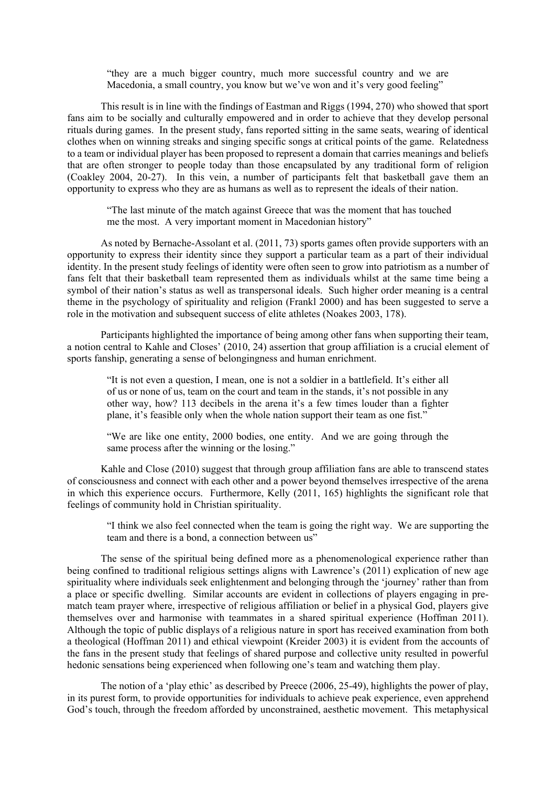"they are a much bigger country, much more successful country and we are Macedonia, a small country, you know but we've won and it's very good feeling"

This result is in line with the findings of Eastman and Riggs (1994, 270) who showed that sport fans aim to be socially and culturally empowered and in order to achieve that they develop personal rituals during games. In the present study, fans reported sitting in the same seats, wearing of identical clothes when on winning streaks and singing specific songs at critical points of the game. Relatedness to a team or individual player has been proposed to represent a domain that carries meanings and beliefs that are often stronger to people today than those encapsulated by any traditional form of religion (Coakley 2004, 20-27). In this vein, a number of participants felt that basketball gave them an opportunity to express who they are as humans as well as to represent the ideals of their nation.

"The last minute of the match against Greece that was the moment that has touched me the most. A very important moment in Macedonian history"

As noted by Bernache-Assolant et al. (2011, 73) sports games often provide supporters with an opportunity to express their identity since they support a particular team as a part of their individual identity. In the present study feelings of identity were often seen to grow into patriotism as a number of fans felt that their basketball team represented them as individuals whilst at the same time being a symbol of their nation's status as well as transpersonal ideals. Such higher order meaning is a central theme in the psychology of spirituality and religion (Frankl 2000) and has been suggested to serve a role in the motivation and subsequent success of elite athletes (Noakes 2003, 178).

Participants highlighted the importance of being among other fans when supporting their team, a notion central to Kahle and Closes' (2010, 24) assertion that group affiliation is a crucial element of sports fanship, generating a sense of belongingness and human enrichment.

"It is not even a question, I mean, one is not a soldier in a battlefield. It's either all of us or none of us, team on the court and team in the stands, it's not possible in any other way, how? 113 decibels in the arena it's a few times louder than a fighter plane, it's feasible only when the whole nation support their team as one fist."

"We are like one entity, 2000 bodies, one entity. And we are going through the same process after the winning or the losing."

Kahle and Close (2010) suggest that through group affiliation fans are able to transcend states of consciousness and connect with each other and a power beyond themselves irrespective of the arena in which this experience occurs. Furthermore, Kelly (2011, 165) highlights the significant role that feelings of community hold in Christian spirituality.

"I think we also feel connected when the team is going the right way. We are supporting the team and there is a bond, a connection between us"

The sense of the spiritual being defined more as a phenomenological experience rather than being confined to traditional religious settings aligns with Lawrence's (2011) explication of new age spirituality where individuals seek enlightenment and belonging through the 'journey' rather than from a place or specific dwelling. Similar accounts are evident in collections of players engaging in prematch team prayer where, irrespective of religious affiliation or belief in a physical God, players give themselves over and harmonise with teammates in a shared spiritual experience (Hoffman 2011). Although the topic of public displays of a religious nature in sport has received examination from both a theological (Hoffman 2011) and ethical viewpoint (Kreider 2003) it is evident from the accounts of the fans in the present study that feelings of shared purpose and collective unity resulted in powerful hedonic sensations being experienced when following one's team and watching them play.

The notion of a 'play ethic' as described by Preece (2006, 25-49), highlights the power of play, in its purest form, to provide opportunities for individuals to achieve peak experience, even apprehend God's touch, through the freedom afforded by unconstrained, aesthetic movement. This metaphysical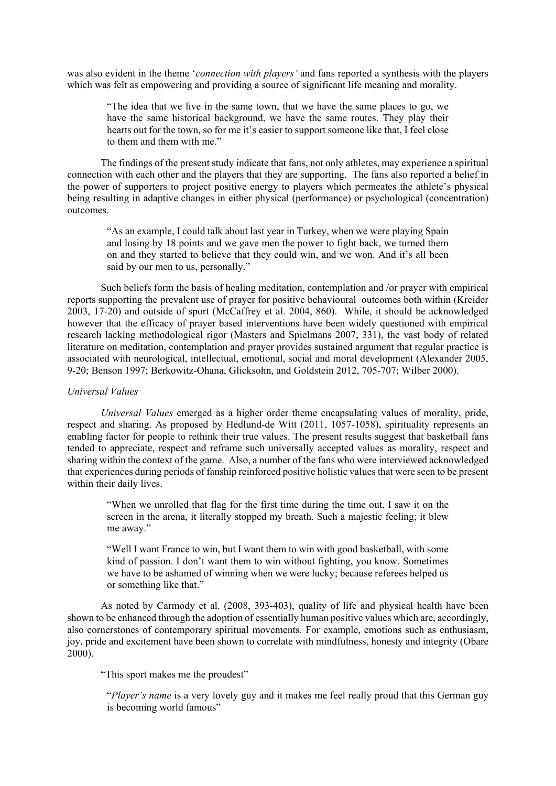was also evident in the theme '*connection with players'* and fans reported a synthesis with the players which was felt as empowering and providing a source of significant life meaning and morality.

"The idea that we live in the same town, that we have the same places to go, we have the same historical background, we have the same routes. They play their hearts out for the town, so for me it's easier to support someone like that, I feel close to them and them with me."

The findings of the present study indicate that fans, not only athletes, may experience a spiritual connection with each other and the players that they are supporting. The fans also reported a belief in the power of supporters to project positive energy to players which permeates the athlete's physical being resulting in adaptive changes in either physical (performance) or psychological (concentration) outcomes.

"As an example, I could talk about last year in Turkey, when we were playing Spain and losing by 18 points and we gave men the power to fight back, we turned them on and they started to believe that they could win, and we won. And it's all been said by our men to us, personally."

Such beliefs form the basis of healing meditation, contemplation and /or prayer with empirical reports supporting the prevalent use of prayer for positive behavioural outcomes both within (Kreider 2003, 17-20) and outside of sport (McCaffrey et al. 2004, 860). While, it should be acknowledged however that the efficacy of prayer based interventions have been widely questioned with empirical research lacking methodological rigor (Masters and Spielmans 2007, 331), the vast body of related literature on meditation, contemplation and prayer provides sustained argument that regular practice is associated with neurological, intellectual, emotional, social and moral development (Alexander 2005, 9-20; Benson 1997; Berkowitz-Ohana, Glicksohn, and Goldstein 2012, 705-707; Wilber 2000).

### *Universal Values*

*Universal Values* emerged as a higher order theme encapsulating values of morality, pride, respect and sharing. As proposed by Hedlund-de Witt (2011, 1057-1058), spirituality represents an enabling factor for people to rethink their true values. The present results suggest that basketball fans tended to appreciate, respect and reframe such universally accepted values as morality, respect and sharing within the context of the game. Also, a number of the fans who were interviewed acknowledged that experiences during periods of fanship reinforced positive holistic values that were seen to be present within their daily lives.

"When we unrolled that flag for the first time during the time out, I saw it on the screen in the arena, it literally stopped my breath. Such a majestic feeling; it blew me away."

"Well I want France to win, but I want them to win with good basketball, with some kind of passion. I don't want them to win without fighting, you know. Sometimes we have to be ashamed of winning when we were lucky; because referees helped us or something like that."

As noted by Carmody et al. (2008, 393-403), quality of life and physical health have been shown to be enhanced through the adoption of essentially human positive values which are, accordingly, also cornerstones of contemporary spiritual movements. For example, emotions such as enthusiasm, joy, pride and excitement have been shown to correlate with mindfulness, honesty and integrity (Obare 2000).

"This sport makes me the proudest"

"*Player's name* is a very lovely guy and it makes me feel really proud that this German guy is becoming world famous"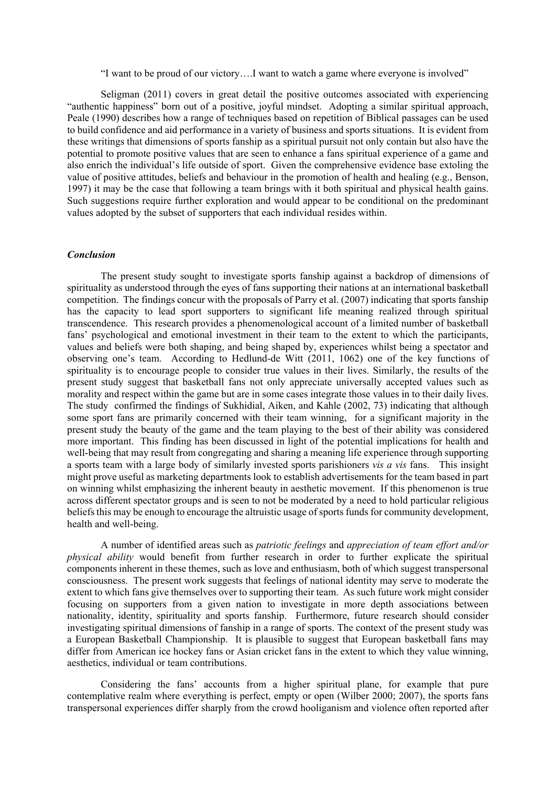"I want to be proud of our victory….I want to watch a game where everyone is involved"

Seligman (2011) covers in great detail the positive outcomes associated with experiencing "authentic happiness" born out of a positive, joyful mindset. Adopting a similar spiritual approach, Peale (1990) describes how a range of techniques based on repetition of Biblical passages can be used to build confidence and aid performance in a variety of business and sports situations. It is evident from these writings that dimensions of sports fanship as a spiritual pursuit not only contain but also have the potential to promote positive values that are seen to enhance a fans spiritual experience of a game and also enrich the individual's life outside of sport. Given the comprehensive evidence base extoling the value of positive attitudes, beliefs and behaviour in the promotion of health and healing (e.g., Benson, 1997) it may be the case that following a team brings with it both spiritual and physical health gains. Such suggestions require further exploration and would appear to be conditional on the predominant values adopted by the subset of supporters that each individual resides within.

## *Conclusion*

The present study sought to investigate sports fanship against a backdrop of dimensions of spirituality as understood through the eyes of fans supporting their nations at an international basketball competition. The findings concur with the proposals of Parry et al. (2007) indicating that sports fanship has the capacity to lead sport supporters to significant life meaning realized through spiritual transcendence. This research provides a phenomenological account of a limited number of basketball fans' psychological and emotional investment in their team to the extent to which the participants, values and beliefs were both shaping, and being shaped by, experiences whilst being a spectator and observing one's team. According to Hedlund-de Witt (2011, 1062) one of the key functions of spirituality is to encourage people to consider true values in their lives. Similarly, the results of the present study suggest that basketball fans not only appreciate universally accepted values such as morality and respect within the game but are in some cases integrate those values in to their daily lives. The study confirmed the findings of Sukhidial, Aiken, and Kahle (2002, 73) indicating that although some sport fans are primarily concerned with their team winning, for a significant majority in the present study the beauty of the game and the team playing to the best of their ability was considered more important. This finding has been discussed in light of the potential implications for health and well-being that may result from congregating and sharing a meaning life experience through supporting a sports team with a large body of similarly invested sports parishioners *vis a vis* fans. This insight might prove useful as marketing departments look to establish advertisements for the team based in part on winning whilst emphasizing the inherent beauty in aesthetic movement. If this phenomenon is true across different spectator groups and is seen to not be moderated by a need to hold particular religious beliefs this may be enough to encourage the altruistic usage of sports funds for community development, health and well-being.

A number of identified areas such as *patriotic feelings* and *appreciation of team effort and/or physical ability* would benefit from further research in order to further explicate the spiritual components inherent in these themes, such as love and enthusiasm, both of which suggest transpersonal consciousness. The present work suggests that feelings of national identity may serve to moderate the extent to which fans give themselves over to supporting their team. As such future work might consider focusing on supporters from a given nation to investigate in more depth associations between nationality, identity, spirituality and sports fanship. Furthermore, future research should consider investigating spiritual dimensions of fanship in a range of sports. The context of the present study was a European Basketball Championship. It is plausible to suggest that European basketball fans may differ from American ice hockey fans or Asian cricket fans in the extent to which they value winning, aesthetics, individual or team contributions.

Considering the fans' accounts from a higher spiritual plane, for example that pure contemplative realm where everything is perfect, empty or open (Wilber 2000; 2007), the sports fans transpersonal experiences differ sharply from the crowd hooliganism and violence often reported after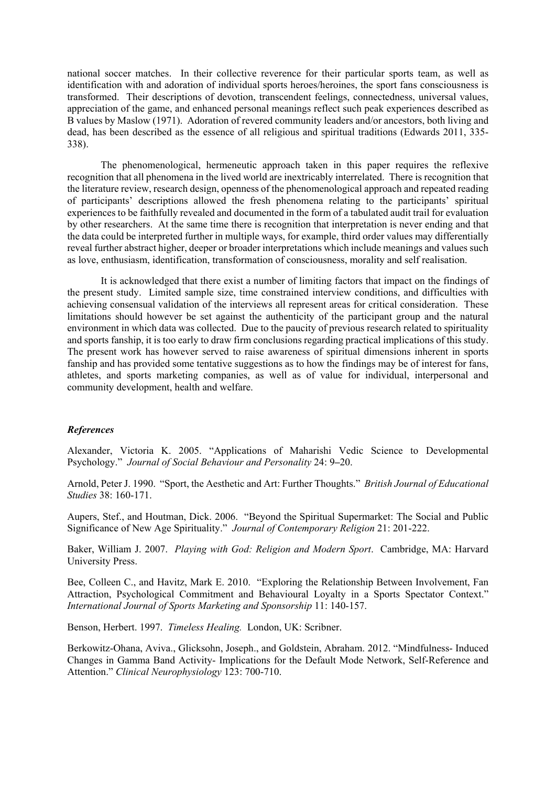national soccer matches. In their collective reverence for their particular sports team, as well as identification with and adoration of individual sports heroes/heroines, the sport fans consciousness is transformed. Their descriptions of devotion, transcendent feelings, connectedness, universal values, appreciation of the game, and enhanced personal meanings reflect such peak experiences described as B values by Maslow (1971). Adoration of revered community leaders and/or ancestors, both living and dead, has been described as the essence of all religious and spiritual traditions (Edwards 2011, 335- 338).

The phenomenological, hermeneutic approach taken in this paper requires the reflexive recognition that all phenomena in the lived world are inextricably interrelated. There is recognition that the literature review, research design, openness of the phenomenological approach and repeated reading of participants' descriptions allowed the fresh phenomena relating to the participants' spiritual experiences to be faithfully revealed and documented in the form of a tabulated audit trail for evaluation by other researchers. At the same time there is recognition that interpretation is never ending and that the data could be interpreted further in multiple ways, for example, third order values may differentially reveal further abstract higher, deeper or broader interpretations which include meanings and values such as love, enthusiasm, identification, transformation of consciousness, morality and self realisation.

It is acknowledged that there exist a number of limiting factors that impact on the findings of the present study. Limited sample size, time constrained interview conditions, and difficulties with achieving consensual validation of the interviews all represent areas for critical consideration. These limitations should however be set against the authenticity of the participant group and the natural environment in which data was collected. Due to the paucity of previous research related to spirituality and sports fanship, it is too early to draw firm conclusions regarding practical implications of this study. The present work has however served to raise awareness of spiritual dimensions inherent in sports fanship and has provided some tentative suggestions as to how the findings may be of interest for fans, athletes, and sports marketing companies, as well as of value for individual, interpersonal and community development, health and welfare.

## *References*

Alexander, Victoria K. 2005. "Applications of Maharishi Vedic Science to Developmental Psychology." *Journal of Social Behaviour and Personality* 24: 9**–**20.

Arnold, Peter J. 1990. "Sport, the Aesthetic and Art: Further Thoughts." *British Journal of Educational Studies* 38: 160-171.

Aupers, Stef., and Houtman, Dick. 2006. "Beyond the Spiritual Supermarket: The Social and Public Significance of New Age Spirituality." *Journal of Contemporary Religion* 21: 201-222.

Baker, William J. 2007. *Playing with God: Religion and Modern Sport*. Cambridge, MA: Harvard University Press.

Bee, Colleen C., and Havitz, Mark E. 2010. "Exploring the Relationship Between Involvement, Fan Attraction, Psychological Commitment and Behavioural Loyalty in a Sports Spectator Context." *International Journal of Sports Marketing and Sponsorship* 11: 140-157.

Benson, Herbert. 1997. *Timeless Healing.* London, UK: Scribner.

Berkowitz-Ohana, Aviva., Glicksohn, Joseph., and Goldstein, Abraham. 2012. "Mindfulness- Induced Changes in Gamma Band Activity- Implications for the Default Mode Network, Self-Reference and Attention." *Clinical Neurophysiology* 123: 700-710.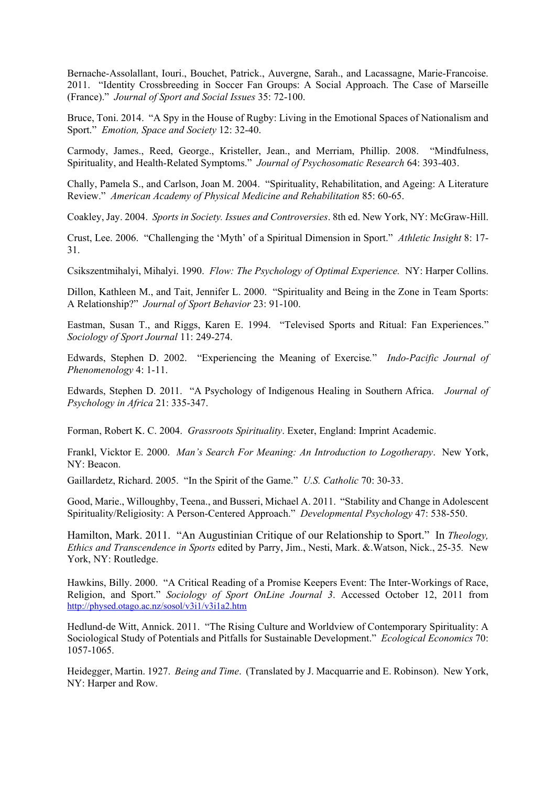Bernache-Assolallant, Iouri., Bouchet, Patrick., Auvergne, Sarah., and Lacassagne, Marie-Francoise. 2011. "Identity Crossbreeding in Soccer Fan Groups: A Social Approach. The Case of Marseille (France)." *Journal of Sport and Social Issues* 35: 72-100.

Bruce, Toni. 2014. "A Spy in the House of Rugby: Living in the Emotional Spaces of Nationalism and Sport." *Emotion, Space and Society* 12: 32-40.

Carmody, James., Reed, George., Kristeller, Jean., and Merriam, Phillip. 2008. "Mindfulness, Spirituality, and Health-Related Symptoms." *Journal of Psychosomatic Research* 64: 393-403.

Chally, Pamela S., and Carlson, Joan M. 2004. "Spirituality, Rehabilitation, and Ageing: A Literature Review." *American Academy of Physical Medicine and Rehabilitation* 85: 60-65.

Coakley, Jay. 2004. *Sports in Society. Issues and Controversies*. 8th ed. New York, NY: McGraw-Hill.

Crust, Lee. 2006. "Challenging the 'Myth' of a Spiritual Dimension in Sport." *Athletic Insight* 8: 17- 31.

Csikszentmihalyi, Mihalyi. 1990. *Flow: The Psychology of Optimal Experience.* NY: Harper Collins.

Dillon, Kathleen M., and Tait, Jennifer L. 2000. "Spirituality and Being in the Zone in Team Sports: A Relationship?" *Journal of Sport Behavior* 23: 91-100.

Eastman, Susan T., and Riggs, Karen E. 1994. "Televised Sports and Ritual: Fan Experiences." *Sociology of Sport Journal* 11: 249-274.

Edwards, Stephen D. 2002. "Experiencing the Meaning of Exercise*.*" *Indo-Pacific Journal of Phenomenology* 4: 1-11.

Edwards, Stephen D. 2011. "A Psychology of Indigenous Healing in Southern Africa. *Journal of Psychology in Africa* 21: 335-347.

Forman, Robert K. C. 2004. *Grassroots Spirituality*. Exeter, England: Imprint Academic.

Frankl, Vicktor E. 2000. *Man's Search For Meaning: An Introduction to Logotherapy*. New York, NY: Beacon.

Gaillardetz, Richard. 2005. "In the Spirit of the Game." *U.S. Catholic* 70: 30-33.

Good, Marie., Willoughby, Teena., and Busseri, Michael A. 2011. "Stability and Change in Adolescent Spirituality/Religiosity: A Person-Centered Approach." *Developmental Psychology* 47: 538-550.

Hamilton, Mark. 2011. "An Augustinian Critique of our Relationship to Sport." In *Theology, Ethics and Transcendence in Sports* edited by Parry, Jim., Nesti, Mark. &.Watson, Nick., 25-35*.* New York, NY: Routledge.

Hawkins, Billy. 2000. "A Critical Reading of a Promise Keepers Event: The Inter-Workings of Race, Religion, and Sport." *Sociology of Sport OnLine Journal 3*. Accessed October 12, 2011 from http://physed.otago.ac.nz/sosol/v3i1/v3i1a2.htm

Hedlund-de Witt, Annick. 2011. "The Rising Culture and Worldview of Contemporary Spirituality: A Sociological Study of Potentials and Pitfalls for Sustainable Development." *Ecological Economics* 70: 1057-1065.

Heidegger, Martin. 1927. *Being and Time*. (Translated by J. Macquarrie and E. Robinson). New York, NY: Harper and Row.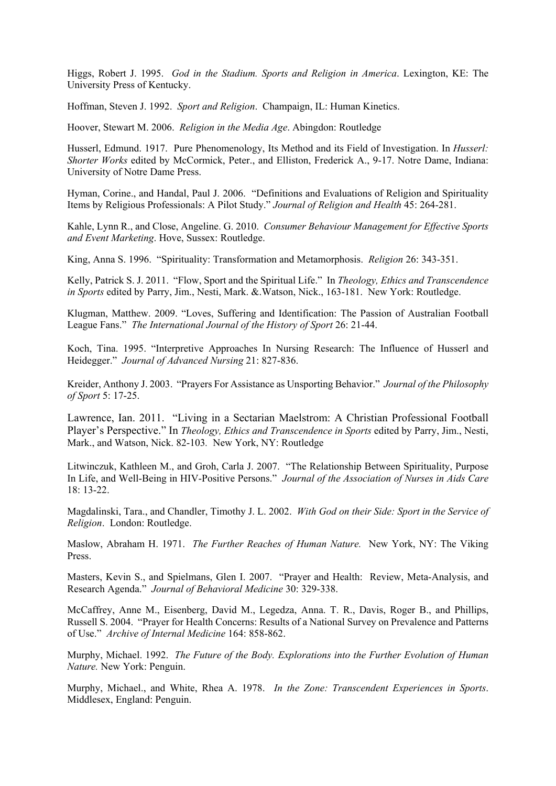Higgs, Robert J. 1995. *God in the Stadium. Sports and Religion in America*. Lexington, KE: The University Press of Kentucky.

Hoffman, Steven J. 1992. *Sport and Religion*. Champaign, IL: Human Kinetics.

Hoover, Stewart M. 2006. *Religion in the Media Age*. Abingdon: Routledge

Husserl, Edmund. 1917. Pure Phenomenology, Its Method and its Field of Investigation. In *Husserl: Shorter Works* edited by McCormick, Peter., and Elliston, Frederick A., 9-17. Notre Dame, Indiana: University of Notre Dame Press.

Hyman, Corine., and Handal, Paul J. 2006. "Definitions and Evaluations of Religion and Spirituality Items by Religious Professionals: A Pilot Study." *Journal of Religion and Health* 45: 264-281.

Kahle, Lynn R., and Close, Angeline. G. 2010. *Consumer Behaviour Management for Effective Sports and Event Marketing*. Hove, Sussex: Routledge.

King, Anna S. 1996. "Spirituality: Transformation and Metamorphosis. *Religion* 26: 343-351.

Kelly, Patrick S. J. 2011. "Flow, Sport and the Spiritual Life." In *Theology, Ethics and Transcendence in Sports* edited by Parry, Jim., Nesti, Mark. & Watson, Nick., 163-181. New York: Routledge.

Klugman, Matthew. 2009. "Loves, Suffering and Identification: The Passion of Australian Football League Fans." *The International Journal of the History of Sport* 26: 21-44.

Koch, Tina. 1995. "Interpretive Approaches In Nursing Research: The Influence of Husserl and Heidegger." *Journal of Advanced Nursing* 21: 827-836.

Kreider, Anthony J. 2003. "Prayers For Assistance as Unsporting Behavior." *Journal of the Philosophy of Sport* 5: 17-25.

Lawrence, Ian. 2011. "Living in a Sectarian Maelstrom: A Christian Professional Football Player's Perspective." In *Theology, Ethics and Transcendence in Sports* edited by Parry, Jim., Nesti, Mark., and Watson, Nick. 82-103*.* New York, NY: Routledge

Litwinczuk, Kathleen M., and Groh, Carla J. 2007. "The Relationship Between Spirituality, Purpose In Life, and Well-Being in HIV-Positive Persons." *Journal of the Association of Nurses in Aids Care*  18: 13-22.

Magdalinski, Tara., and Chandler, Timothy J. L. 2002. *With God on their Side: Sport in the Service of Religion*. London: Routledge.

Maslow, Abraham H. 1971. *The Further Reaches of Human Nature.* New York, NY: The Viking Press.

Masters, Kevin S., and Spielmans, Glen I. 2007. "Prayer and Health: Review, Meta-Analysis, and Research Agenda." *Journal of Behavioral Medicine* 30: 329-338.

McCaffrey, Anne M., Eisenberg, David M., Legedza, Anna. T. R., Davis, Roger B., and Phillips, Russell S. 2004. "Prayer for Health Concerns: Results of a National Survey on Prevalence and Patterns of Use." *Archive of Internal Medicine* 164: 858-862.

Murphy, Michael. 1992. *The Future of the Body. Explorations into the Further Evolution of Human Nature.* New York: Penguin.

Murphy, Michael., and White, Rhea A. 1978. *In the Zone: Transcendent Experiences in Sports*. Middlesex, England: Penguin.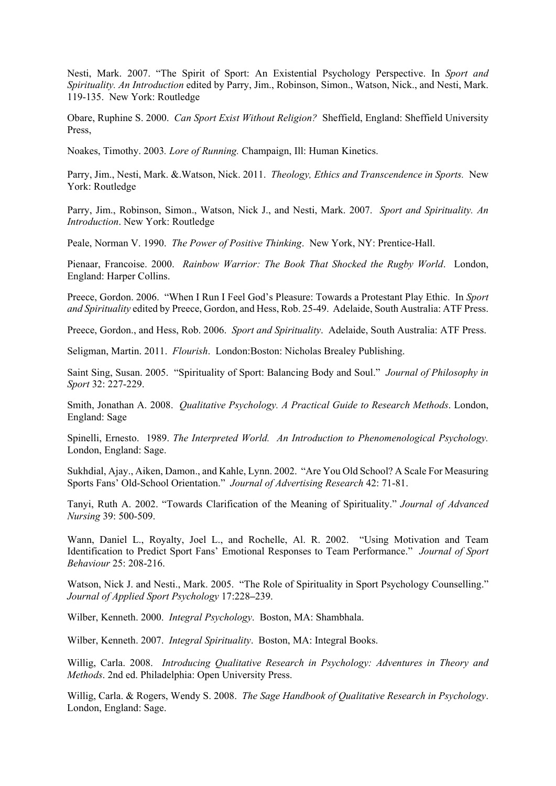Nesti, Mark. 2007. "The Spirit of Sport: An Existential Psychology Perspective. In *Sport and Spirituality. An Introduction* edited by Parry, Jim., Robinson, Simon., Watson, Nick., and Nesti, Mark. 119-135. New York: Routledge

Obare, Ruphine S. 2000. *Can Sport Exist Without Religion?* Sheffield, England: Sheffield University Press,

Noakes, Timothy. 2003*. Lore of Running.* Champaign, Ill: Human Kinetics.

Parry, Jim., Nesti, Mark. &.Watson, Nick. 2011. *Theology, Ethics and Transcendence in Sports.* New York: Routledge

Parry, Jim., Robinson, Simon., Watson, Nick J., and Nesti, Mark. 2007. *Sport and Spirituality. An Introduction*. New York: Routledge

Peale, Norman V. 1990. *The Power of Positive Thinking*. New York, NY: Prentice-Hall.

Pienaar, Francoise. 2000. *Rainbow Warrior: The Book That Shocked the Rugby World*. London, England: Harper Collins.

Preece, Gordon. 2006. "When I Run I Feel God's Pleasure: Towards a Protestant Play Ethic. In *Sport and Spirituality* edited by Preece, Gordon, and Hess, Rob. 25-49. Adelaide, South Australia: ATF Press.

Preece, Gordon., and Hess, Rob. 2006. *Sport and Spirituality*. Adelaide, South Australia: ATF Press.

Seligman, Martin. 2011. *Flourish*. London:Boston: Nicholas Brealey Publishing.

Saint Sing, Susan. 2005. "Spirituality of Sport: Balancing Body and Soul." *Journal of Philosophy in Sport* 32: 227-229.

Smith, Jonathan A. 2008. *Qualitative Psychology. A Practical Guide to Research Methods*. London, England: Sage

Spinelli, Ernesto. 1989. *The Interpreted World. An Introduction to Phenomenological Psychology.* London, England: Sage.

Sukhdial, Ajay., Aiken, Damon., and Kahle, Lynn. 2002. "Are You Old School? A Scale For Measuring Sports Fans' Old-School Orientation." *Journal of Advertising Research* 42: 71-81.

Tanyi, Ruth A. 2002. "Towards Clarification of the Meaning of Spirituality." *Journal of Advanced Nursing* 39: 500-509.

Wann, Daniel L., Royalty, Joel L., and Rochelle, Al. R. 2002. "Using Motivation and Team Identification to Predict Sport Fans' Emotional Responses to Team Performance." *Journal of Sport Behaviour* 25: 208-216.

Watson, Nick J. and Nesti., Mark. 2005. "The Role of Spirituality in Sport Psychology Counselling." *Journal of Applied Sport Psychology* 17:228**–**239.

Wilber, Kenneth. 2000. *Integral Psychology*. Boston, MA: Shambhala.

Wilber, Kenneth. 2007. *Integral Spirituality*. Boston, MA: Integral Books.

Willig, Carla. 2008. *Introducing Qualitative Research in Psychology: Adventures in Theory and Methods*. 2nd ed. Philadelphia: Open University Press.

Willig, Carla. & Rogers, Wendy S. 2008. *The Sage Handbook of Qualitative Research in Psychology*. London, England: Sage.